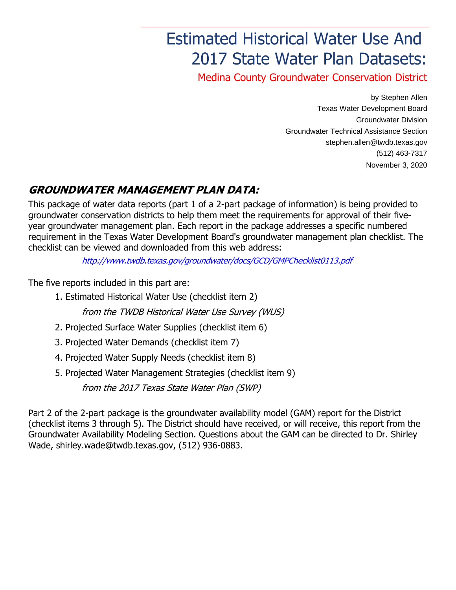# Estimated Historical Water Use And 2017 State Water Plan Datasets:

Medina County Groundwater Conservation District

by Stephen Allen Texas Water Development Board Groundwater Division Groundwater Technical Assistance Section stephen.allen@twdb.texas.gov November 3, 2020 (512) 463-7317

#### **GROUNDWATER MANAGEMENT PLAN DATA:**

This package of water data reports (part 1 of a 2-part package of information) is being provided to groundwater conservation districts to help them meet the requirements for approval of their fiveyear groundwater management plan. Each report in the package addresses a specific numbered requirement in the Texas Water Development Board's groundwater management plan checklist. The checklist can be viewed and downloaded from this web address:

http://www.twdb.texas.gov/groundwater/docs/GCD/GMPChecklist0113.pdf

The five reports included in this part are:

1. Estimated Historical Water Use (checklist item 2)

from the TWDB Historical Water Use Survey (WUS)

- 2. Projected Surface Water Supplies (checklist item 6)
- 3. Projected Water Demands (checklist item 7)
- 4. Projected Water Supply Needs (checklist item 8)
- 5. Projected Water Management Strategies (checklist item 9)

from the 2017 Texas State Water Plan (SWP)

Part 2 of the 2-part package is the groundwater availability model (GAM) report for the District (checklist items 3 through 5). The District should have received, or will receive, this report from the Groundwater Availability Modeling Section. Questions about the GAM can be directed to Dr. Shirley Wade, shirley.wade@twdb.texas.gov, (512) 936-0883.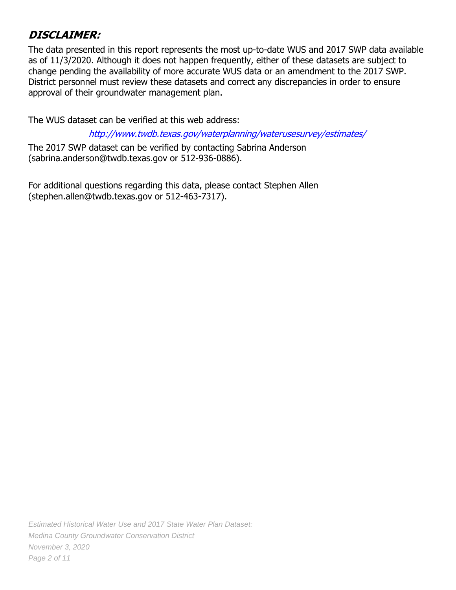#### **DISCLAIMER:**

The data presented in this report represents the most up-to-date WUS and 2017 SWP data available as of 11/3/2020. Although it does not happen frequently, either of these datasets are subject to change pending the availability of more accurate WUS data or an amendment to the 2017 SWP. District personnel must review these datasets and correct any discrepancies in order to ensure approval of their groundwater management plan.

The WUS dataset can be verified at this web address:

http://www.twdb.texas.gov/waterplanning/waterusesurvey/estimates/

The 2017 SWP dataset can be verified by contacting Sabrina Anderson (sabrina.anderson@twdb.texas.gov or 512-936-0886).

For additional questions regarding this data, please contact Stephen Allen (stephen.allen@twdb.texas.gov or 512-463-7317).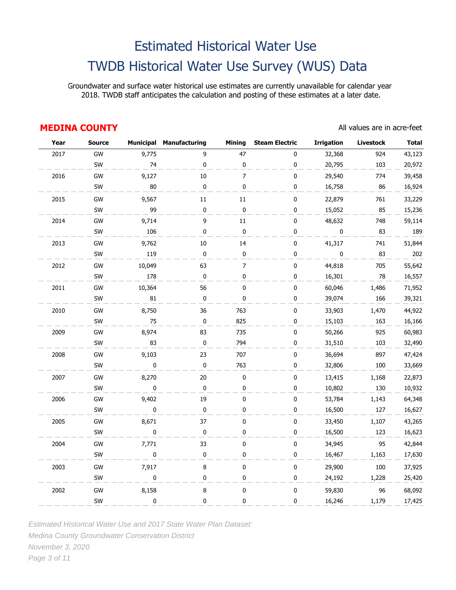#### Estimated Historical Water Use TWDB Historical Water Use Survey (WUS) Data

Groundwater and surface water historical use estimates are currently unavailable for calendar year 2018. TWDB staff anticipates the calculation and posting of these estimates at a later date.

#### **MEDINA COUNTY All values are in acre-feet**

| Year | <b>Source</b> |              | <b>Municipal Manufacturing</b> | <b>Mining</b> | <b>Steam Electric</b> | <b>Irrigation</b> | <b>Livestock</b> | <b>Total</b> |
|------|---------------|--------------|--------------------------------|---------------|-----------------------|-------------------|------------------|--------------|
| 2017 | GW            | 9,775        | 9                              | 47            | $\pmb{0}$             | 32,368            | 924              | 43,123       |
|      | SW            | 74           | 0                              | 0             | 0                     | 20,795            | 103              | 20,972       |
| 2016 | GW            | 9,127        | $10\,$                         | 7             | $\pmb{0}$             | 29,540            | 774              | 39,458       |
|      | SW            | 80           | $\pmb{0}$                      | 0             | $\pmb{0}$             | 16,758            | 86               | 16,924       |
| 2015 | GW            | 9,567        | $11\,$                         | $11\,$        | $\pmb{0}$             | 22,879            | 761              | 33,229       |
|      | SW            | 99           | $\pmb{0}$                      | 0             | 0                     | 15,052            | 85               | 15,236       |
| 2014 | GW            | 9,714        | 9                              | 11            | $\pmb{0}$             | 48,632            | 748              | 59,114       |
|      | SW            | 106          | $\pmb{0}$                      | $\mathbf 0$   | 0                     | $\pmb{0}$         | 83               | 189          |
| 2013 | GW            | 9,762        | $10\,$                         | 14            | $\pmb{0}$             | 41,317            | 741              | 51,844       |
|      | SW            | 119          | $\pmb{0}$                      | 0             | 0                     | $\mathbf 0$       | 83               | 202          |
| 2012 | GW            | 10,049       | 63                             | 7             | $\pmb{0}$             | 44,818            | 705              | 55,642       |
|      | SW            | 178          | $\mathbf 0$                    | 0             | 0                     | 16,301            | 78               | 16,557       |
| 2011 | GW            | 10,364       | 56                             | 0             | 0                     | 60,046            | 1,486            | 71,952       |
|      | SW            | 81           | $\pmb{0}$                      | 0             | 0                     | 39,074            | 166              | 39,321       |
| 2010 | GW            | 8,750        | 36                             | 763           | $\pmb{0}$             | 33,903            | 1,470            | 44,922       |
|      | SW            | 75           | $\mathbf 0$                    | 825           | $\mathbf{0}$          | 15,103            | 163              | 16,166       |
| 2009 | GW            | 8,974        | 83                             | 735           | 0                     | 50,266            | 925              | 60,983       |
|      | SW            | 83           | $\pmb{0}$                      | 794           | 0                     | 31,510            | 103              | 32,490       |
| 2008 | GW            | 9,103        | 23                             | 707           | 0                     | 36,694            | 897              | 47,424       |
|      | SW            | $\mathbf 0$  | $\pmb{0}$                      | 763           | 0                     | 32,806            | 100              | 33,669       |
| 2007 | GW            | 8,270        | 20                             | 0             | $\pmb{0}$             | 13,415            | 1,168            | 22,873       |
|      | SW            | $\mathbf 0$  | $\pmb{0}$                      | 0             | 0                     | 10,802            | 130              | 10,932       |
| 2006 | GW            | 9,402        | 19                             | $\pmb{0}$     | 0                     | 53,784            | 1,143            | 64,348       |
|      | SW            | 0            | 0                              | 0             | 0                     | 16,500            | 127              | 16,627       |
| 2005 | GW            | 8,671        | 37                             | 0             | $\pmb{0}$             | 33,450            | 1,107            | 43,265       |
|      | SW            | $\mathbf{0}$ | $\mathbf 0$                    | 0             | 0                     | 16,500            | 123              | 16,623       |
| 2004 | GW            | 7,771        | 33                             | 0             | $\pmb{0}$             | 34,945            | 95               | 42,844       |
|      | SW            | $\mathbf{0}$ | $\pmb{0}$                      | 0             | 0                     | 16,467            | 1,163            | 17,630       |
| 2003 | GW            | 7,917        | 8                              | 0             | $\mathbf 0$           | 29,900            | 100              | 37,925       |
|      | SW            | $\mathbf{0}$ | 0                              | 0             | 0                     | 24,192            | 1,228            | 25,420       |
| 2002 | GW            | 8,158        | $\bf 8$                        | 0             | $\pmb{0}$             | 59,830            | 96               | 68,092       |
|      | SW            | 0            | 0                              | 0             | 0                     | 16,246            | 1,179            | 17,425       |

Estimated Historical Water Use and 2017 State Water Plan Dataset: Medina County Groundwater Conservation District November 3, 2020 Page 3 of 11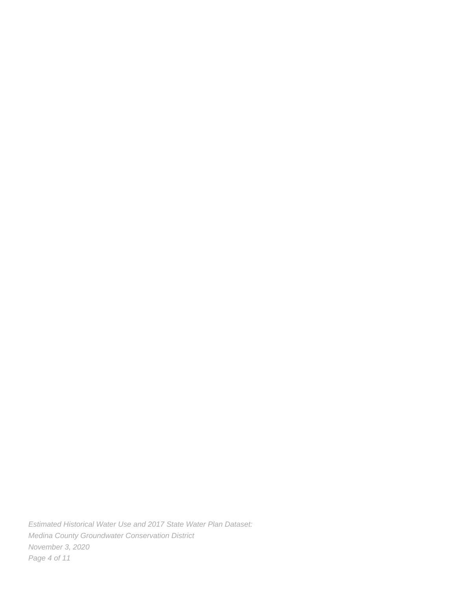Estimated Historical Water Use and 2017 State Water Plan Dataset: Medina County Groundwater Conservation District November 3, 2020 Page 4 of 11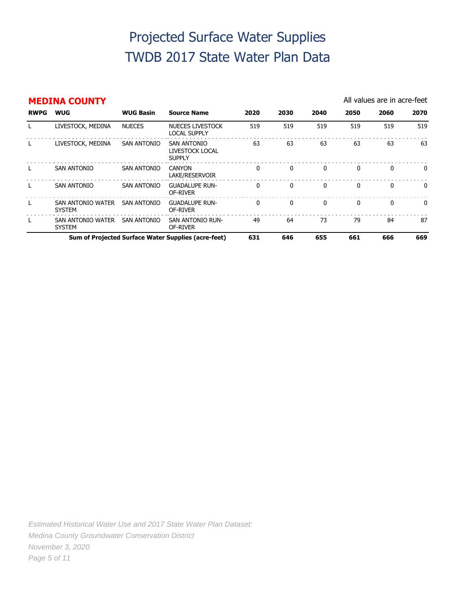# Projected Surface Water Supplies TWDB 2017 State Water Plan Data

|             | <b>MEDINA COUNTY</b>                                       |                    |                                                 |      |              |          |              | All values are in acre-feet |      |
|-------------|------------------------------------------------------------|--------------------|-------------------------------------------------|------|--------------|----------|--------------|-----------------------------|------|
| <b>RWPG</b> | <b>WUG</b>                                                 | <b>WUG Basin</b>   | <b>Source Name</b>                              | 2020 | 2030         | 2040     | 2050         | 2060                        | 2070 |
|             | LIVESTOCK, MEDINA                                          | <b>NUECES</b>      | NUECES LIVESTOCK<br><b>LOCAL SUPPLY</b>         | 519  | 519          | 519      | 519          | 519                         | 519  |
|             | LIVESTOCK, MEDINA                                          | SAN ANTONIO        | SAN ANTONIO<br>LIVESTOCK LOCAL<br><b>SUPPLY</b> | 63   | 63           | 63       | 63           | 63                          | 63   |
|             | <b>SAN ANTONIO</b>                                         | SAN ANTONIO        | <b>CANYON</b><br>LAKE/RESERVOIR                 | 0    | $\mathbf{0}$ | 0        | $\mathbf{0}$ | 0                           | 0    |
|             | <b>SAN ANTONIO</b>                                         | <b>SAN ANTONIO</b> | <b>GUADALUPE RUN-</b><br>OF-RIVER               | 0    | $\Omega$     | 0        | $\Omega$     | 0                           | 0    |
|             | SAN ANTONIO WATER<br><b>SYSTEM</b>                         | SAN ANTONIO        | <b>GUADALUPE RUN-</b><br>OF-RIVER               | 0    | $\Omega$     | $\Omega$ | $\Omega$     | $\Omega$                    | 0    |
|             | SAN ANTONIO WATER<br><b>SYSTEM</b>                         | <b>SAN ANTONIO</b> | <b>SAN ANTONIO RUN-</b><br>OF-RIVER             | 49   | 64           | 73       | 79           | 84                          | 87   |
|             | <b>Sum of Projected Surface Water Supplies (acre-feet)</b> |                    |                                                 | 631  | 646          | 655      | 661          | 666                         | 669  |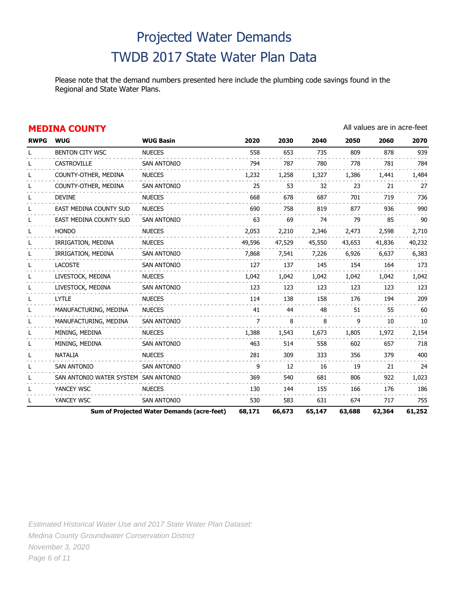# Projected Water Demands TWDB 2017 State Water Plan Data

Please note that the demand numbers presented here include the plumbing code savings found in the Regional and State Water Plans.

**MEDINA COUNTY MEDINA COUNTY All values are in acre-feet** 

| <b>RWPG</b>  | <b>WUG</b>                           | <b>WUG Basin</b>                                  | 2020           | 2030   | 2040   | 2050   | 2060   | 2070   |
|--------------|--------------------------------------|---------------------------------------------------|----------------|--------|--------|--------|--------|--------|
| $\mathbf{L}$ | BENTON CITY WSC                      | <b>NUECES</b>                                     | 558            | 653    | 735    | 809    | 878    | 939    |
| L            | <b>CASTROVILLE</b>                   | SAN ANTONIO                                       | 794            | 787    | 780    | 778    | 781    | 784    |
|              | COUNTY-OTHER, MEDINA                 | <b>NUECES</b>                                     | 1,232          | 1,258  | 1,327  | 1,386  | 1,441  | 1,484  |
| L            | COUNTY-OTHER, MEDINA                 | <b>SAN ANTONIO</b>                                | 25             | 53     | 32     | 23     | 21     | 27     |
| L            | <b>DEVINE</b>                        | <b>NUECES</b>                                     | 668            | 678    | 687    | 701    | 719    | 736    |
| L            | EAST MEDINA COUNTY SUD               | <b>NUECES</b>                                     | 690            | 758    | 819    | 877    | 936    | 990    |
| L            | EAST MEDINA COUNTY SUD               | <b>SAN ANTONIO</b>                                | 63             | 69     | 74     | 79     | 85     | 90     |
| L            | <b>HONDO</b>                         | <b>NUECES</b>                                     | 2,053          | 2,210  | 2,346  | 2,473  | 2,598  | 2,710  |
| L            | IRRIGATION, MEDINA                   | <b>NUECES</b>                                     | 49,596         | 47,529 | 45,550 | 43,653 | 41,836 | 40,232 |
| L            | IRRIGATION, MEDINA                   | <b>SAN ANTONIO</b>                                | 7,868          | 7,541  | 7,226  | 6,926  | 6,637  | 6,383  |
| L            | <b>LACOSTE</b>                       | <b>SAN ANTONIO</b>                                | 127            | 137    | 145    | 154    | 164    | 173    |
| L            | LIVESTOCK, MEDINA                    | <b>NUECES</b>                                     | 1,042          | 1,042  | 1,042  | 1,042  | 1,042  | 1,042  |
| L            | LIVESTOCK, MEDINA                    | <b>SAN ANTONIO</b>                                | 123            | 123    | 123    | 123    | 123    | 123    |
| L            | <b>LYTLE</b>                         | <b>NUECES</b>                                     | 114            | 138    | 158    | 176    | 194    | 209    |
|              | MANUFACTURING, MEDINA                | <b>NUECES</b>                                     | 41             | 44     | 48     | 51     | 55     | 60     |
|              | MANUFACTURING, MEDINA                | <b>SAN ANTONIO</b>                                | $\overline{7}$ | 8      | 8      | 9      | 10     | 10     |
|              | MINING, MEDINA                       | <b>NUECES</b>                                     | 1,388          | 1,543  | 1,673  | 1,805  | 1,972  | 2,154  |
| L            | MINING, MEDINA                       | <b>SAN ANTONIO</b>                                | 463            | 514    | 558    | 602    | 657    | 718    |
|              | <b>NATALIA</b>                       | <b>NUECES</b>                                     | 281            | 309    | 333    | 356    | 379    | 400    |
| L            | SAN ANTONIO                          | SAN ANTONIO                                       | 9              | 12     | 16     | 19     | 21     | 24     |
|              | SAN ANTONIO WATER SYSTEM SAN ANTONIO |                                                   | 369            | 540    | 681    | 806    | 922    | 1,023  |
|              | YANCEY WSC                           | <b>NUECES</b>                                     | 130            | 144    | 155    | 166    | 176    | 186    |
| L            | YANCEY WSC                           | <b>SAN ANTONIO</b>                                | 530            | 583    | 631    | 674    | 717    | 755    |
|              |                                      | <b>Sum of Projected Water Demands (acre-feet)</b> | 68,171         | 66,673 | 65,147 | 63,688 | 62,364 | 61,252 |

Estimated Historical Water Use and 2017 State Water Plan Dataset: Medina County Groundwater Conservation District November 3, 2020 Page 6 of 11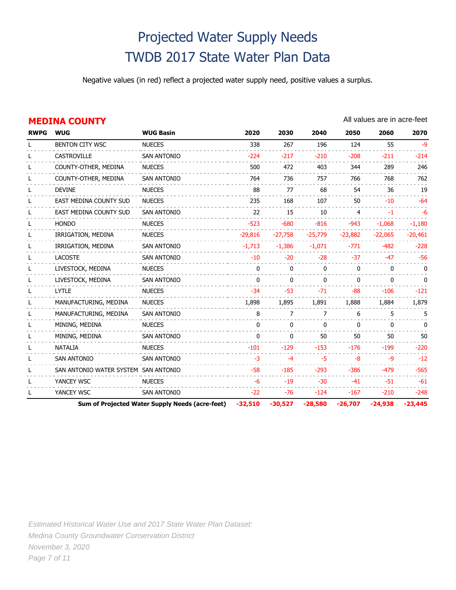#### Projected Water Supply Needs TWDB 2017 State Water Plan Data

Negative values (in red) reflect a projected water supply need, positive values a surplus.

**MEDINA COUNTY MEDINA COUNTY All values are in acre-feet** 

| <b>RWPG</b> | <b>WUG</b>                           | <b>WUG Basin</b>                                | 2020      | 2030      | 2040      | 2050      | 2060      | 2070         |
|-------------|--------------------------------------|-------------------------------------------------|-----------|-----------|-----------|-----------|-----------|--------------|
|             | BENTON CITY WSC                      | <b>NUECES</b>                                   | 338       | 267       | 196       | 124       | 55        | $-9$         |
| L           | CASTROVILLE                          | <b>SAN ANTONIO</b>                              | $-224$    | $-217$    | $-210$    | $-208$    | $-211$    | $-214$       |
| L           | COUNTY-OTHER, MEDINA                 | <b>NUECES</b>                                   | 500       | 472       | 403       | 344       | 289       | 246          |
| L           | COUNTY-OTHER, MEDINA                 | <b>SAN ANTONIO</b>                              | 764       | 736       | 757       | 766       | 768       | 762          |
| L           | <b>DEVINE</b>                        | <b>NUECES</b>                                   | 88        | 77        | 68        | 54        | 36        | 19           |
| L           | EAST MEDINA COUNTY SUD               | <b>NUECES</b>                                   | 235       | 168       | 107       | 50        | $-10$     | $-64$        |
| L           | EAST MEDINA COUNTY SUD               | <b>SAN ANTONIO</b>                              | 22        | 15        | 10        | 4         | $-1$      | $-6$         |
| L           | <b>HONDO</b>                         | <b>NUECES</b>                                   | $-523$    | $-680$    | $-816$    | $-943$    | $-1,068$  | $-1,180$     |
| L           | IRRIGATION, MEDINA                   | <b>NUECES</b>                                   | $-29,816$ | $-27,758$ | $-25,779$ | $-23,882$ | $-22,065$ | $-20,461$    |
| L           | IRRIGATION, MEDINA                   | <b>SAN ANTONIO</b>                              | $-1,713$  | $-1,386$  | $-1,071$  | $-771$    | $-482$    | $-228$       |
| L           | <b>LACOSTE</b>                       | <b>SAN ANTONIO</b>                              | $-10$     | $-20$     | $-28$     | $-37$     | $-47$     | $-56$        |
| L           | LIVESTOCK, MEDINA                    | <b>NUECES</b>                                   | 0         | 0         | 0         | 0         | 0         | 0            |
| L           | LIVESTOCK, MEDINA                    | <b>SAN ANTONIO</b>                              | 0         | 0         | 0         | 0         | 0         | $\mathbf{0}$ |
| L           | <b>LYTLE</b>                         | <b>NUECES</b>                                   | $-34$     | $-53$     | $-71$     | $-88$     | $-106$    | $-121$       |
| L           | MANUFACTURING, MEDINA                | <b>NUECES</b>                                   | 1,898     | 1,895     | 1,891     | 1,888     | 1,884     | 1,879        |
| L           | MANUFACTURING, MEDINA                | <b>SAN ANTONIO</b>                              | 8         | 7         | 7         | 6         | 5         | 5            |
| L           | MINING, MEDINA                       | <b>NUECES</b>                                   | 0         | 0         | 0         | 0         | 0         | $\mathbf{0}$ |
| L           | MINING, MEDINA                       | <b>SAN ANTONIO</b>                              | 0         | 0         | 50        | 50        | 50        | 50           |
| L           | <b>NATALIA</b>                       | <b>NUECES</b>                                   | $-101$    | $-129$    | $-153$    | $-176$    | $-199$    | $-220$       |
| L           | <b>SAN ANTONIO</b>                   | <b>SAN ANTONIO</b>                              | $-3$      | $-4$      | $-5$      | $-8$      | -9        | $-12$        |
| L           | SAN ANTONIO WATER SYSTEM SAN ANTONIO |                                                 | $-58$     | $-185$    | $-293$    | $-386$    | $-479$    | $-565$       |
| L           | YANCEY WSC                           | <b>NUECES</b>                                   | $-6$      | $-19$     | $-30$     | $-41$     | $-51$     | $-61$        |
| L           | YANCEY WSC                           | <b>SAN ANTONIO</b>                              | $-22$     | $-76$     | $-124$    | $-167$    | $-210$    | $-248$       |
|             |                                      | Sum of Projected Water Supply Needs (acre-feet) | $-32,510$ | $-30,527$ | $-28,580$ | $-26,707$ | $-24,938$ | $-23,445$    |

Estimated Historical Water Use and 2017 State Water Plan Dataset: Medina County Groundwater Conservation District November 3, 2020 Page 7 of 11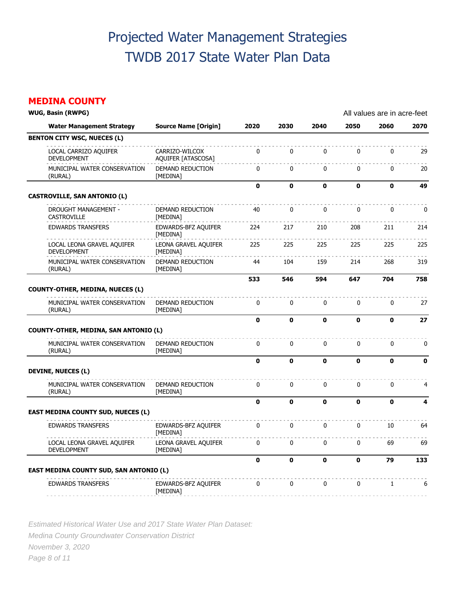#### **MEDINA COUNTY**

| <b>WUG, Basin (RWPG)</b>                          |                                      |          |              |              | All values are in acre-feet |              |      |
|---------------------------------------------------|--------------------------------------|----------|--------------|--------------|-----------------------------|--------------|------|
| <b>Water Management Strategy</b>                  | <b>Source Name [Origin]</b>          | 2020     | 2030         | 2040         | 2050                        | 2060         | 2070 |
| <b>BENTON CITY WSC, NUECES (L)</b>                |                                      |          |              |              |                             |              |      |
| LOCAL CARRIZO AQUIFER<br><b>DEVELOPMENT</b>       | CARRIZO-WILCOX<br>AQUIFER [ATASCOSA] | $\Omega$ | $\Omega$     | $\Omega$     | $\mathbf{0}$                | 0            | 29   |
| MUNICIPAL WATER CONSERVATION<br>(RURAL)           | DEMAND REDUCTION<br>[MEDINA]         | 0        | $\mathbf{0}$ | 0            | 0                           | 0            | 20   |
| <b>CASTROVILLE, SAN ANTONIO (L)</b>               |                                      | 0        | 0            | 0            | $\bf{0}$                    | 0            | 49   |
| <b>DROUGHT MANAGEMENT -</b><br><b>CASTROVILLE</b> | <b>DEMAND REDUCTION</b><br>[MEDINA]  | 40       | $\mathbf{0}$ | $\mathbf{0}$ | $\mathbf{0}$                | $\mathbf{0}$ | 0    |
| <b>EDWARDS TRANSFERS</b>                          | EDWARDS-BFZ AQUIFER<br>[MEDINA]      | 224      | 217          | 210          | 208                         | 211          | 214  |
| LOCAL LEONA GRAVEL AQUIFER<br><b>DEVELOPMENT</b>  | LEONA GRAVEL AQUIFER<br>[MEDINA]     | 225      | 225          | 225          | 225                         | 225          | 225  |
| MUNICIPAL WATER CONSERVATION<br>(RURAL)           | <b>DEMAND REDUCTION</b><br>[MEDINA]  | 44       | 104          | 159          | 214                         | 268          | 319  |
|                                                   |                                      | 533      | 546          | 594          | 647                         | 704          | 758  |
| <b>COUNTY-OTHER, MEDINA, NUECES (L)</b>           |                                      |          |              |              |                             |              |      |
| MUNICIPAL WATER CONSERVATION<br>(RURAL)           | DEMAND REDUCTION<br>[MEDINA]         | 0        | $\mathbf{0}$ | $\mathbf{0}$ | $\mathbf{0}$                | 0            | 27   |
|                                                   |                                      | 0        | $\mathbf{0}$ | 0            | $\mathbf{0}$                | 0            | 27   |
| COUNTY-OTHER, MEDINA, SAN ANTONIO (L)             |                                      |          |              |              |                             |              |      |
| MUNICIPAL WATER CONSERVATION<br>(RURAL)           | DEMAND REDUCTION<br>[MEDINA]         | 0        | $\mathbf{0}$ | 0            | $\mathbf{0}$                | 0            | 0    |
|                                                   |                                      | 0        | 0            | 0            | 0                           | 0            | 0    |
| <b>DEVINE, NUECES (L)</b>                         |                                      |          |              |              |                             |              |      |
| MUNICIPAL WATER CONSERVATION<br>(RURAL)           | DEMAND REDUCTION<br>[MEDINA]         | 0        | $\mathbf{0}$ | $\mathbf{0}$ | $\mathbf{0}$                | 0            | 4    |
|                                                   |                                      | 0        | 0            | 0            | $\mathbf{0}$                | $\mathbf{0}$ | 4    |
| EAST MEDINA COUNTY SUD, NUECES (L)                |                                      |          |              |              |                             |              |      |
| <b>EDWARDS TRANSFERS</b><br>.                     | EDWARDS-BFZ AQUIFER<br>[MEDINA]      | 0        | $\mathbf{0}$ | $\mathbf{0}$ | $\mathbf{0}$                | 10           | 64   |
| LOCAL LEONA GRAVEL AQUIFER<br>DEVELOPMENT         | LEONA GRAVEL AQUIFER<br>[MEDINA]     | υ        | U            | U            | U                           | 69           | 69   |
|                                                   |                                      | 0        | $\mathbf 0$  | $\mathbf 0$  | $\mathbf 0$                 | 79           | 133  |
| EAST MEDINA COUNTY SUD, SAN ANTONIO (L)           |                                      |          |              |              |                             |              |      |
| <b>EDWARDS TRANSFERS</b>                          | EDWARDS-BFZ AQUIFER<br>[MEDINA]      | 0        | 0            | 0            | 0                           | 1            | 6    |

Estimated Historical Water Use and 2017 State Water Plan Dataset: Medina County Groundwater Conservation District November 3, 2020 Page 8 of 11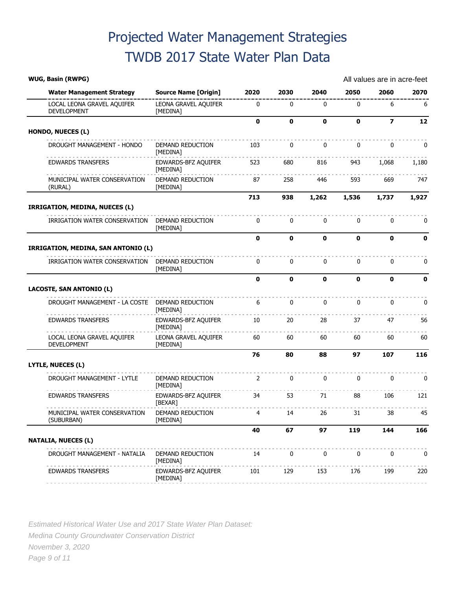| <b>WUG, Basin (RWPG)</b>                         |                                     |              |              |              | All values are in acre-feet |                         |           |
|--------------------------------------------------|-------------------------------------|--------------|--------------|--------------|-----------------------------|-------------------------|-----------|
| <b>Water Management Strategy</b>                 | <b>Source Name [Origin]</b>         | 2020         | 2030         | 2040         | 2050                        | 2060                    | 2070      |
| LOCAL LEONA GRAVEL AQUIFER<br><b>DEVELOPMENT</b> | LEONA GRAVEL AQUIFER<br>[MEDINA]    | 0            | 0            | $\mathbf{0}$ | $\mathbf{0}$                | 6                       | 6         |
|                                                  |                                     | $\mathbf{0}$ | $\mathbf{0}$ | O            | $\mathbf 0$                 | $\overline{\mathbf{z}}$ | 12        |
| <b>HONDO, NUECES (L)</b>                         |                                     |              |              |              |                             |                         |           |
| DROUGHT MANAGEMENT - HONDO                       | DEMAND REDUCTION<br>[MEDINA]        | 103          | 0            | 0            | $\mathbf{0}$                | 0                       | 0         |
| <b>EDWARDS TRANSFERS</b>                         | EDWARDS-BFZ AQUIFER<br>[MEDINA]     | 523          | 680          | 816          | 943                         | 1,068                   | 1,180     |
| MUNICIPAL WATER CONSERVATION<br>(RURAL)          | <b>DEMAND REDUCTION</b><br>[MEDINA] | 87           | 258          | 446          | 593                         | 669                     | 747       |
|                                                  |                                     | 713          | 938          | 1,262        | 1,536                       | 1,737                   | 1,927     |
| IRRIGATION, MEDINA, NUECES (L)                   |                                     |              |              |              |                             |                         |           |
| IRRIGATION WATER CONSERVATION                    | DEMAND REDUCTION<br>[MEDINA]        | 0            | 0            | 0            | 0                           | 0                       | 0         |
|                                                  |                                     | O            | $\mathbf{0}$ | 0            | 0                           | 0                       | 0         |
| <b>IRRIGATION, MEDINA, SAN ANTONIO (L)</b>       |                                     |              |              |              |                             |                         |           |
| IRRIGATION WATER CONSERVATION                    | DEMAND REDUCTION<br>[MEDINA]        | 0            | 0            | $\mathbf{0}$ | 0                           | 0                       | 0         |
|                                                  |                                     | 0            | $\mathbf{0}$ | 0            | $\mathbf{0}$                | $\mathbf 0$             | 0         |
| LACOSTE, SAN ANTONIO (L)                         |                                     |              |              |              |                             |                         |           |
| DROUGHT MANAGEMENT - LA COSTE                    | DEMAND REDUCTION<br>[MEDINA]        | 6            | $\mathbf{0}$ | 0            | $\mathbf{0}$                | 0                       | 0         |
| <b>EDWARDS TRANSFERS</b>                         | EDWARDS-BFZ AQUIFER<br>[MEDINA]     | 10           | 20           | 28           | 37                          | 47                      | 56        |
| LOCAL LEONA GRAVEL AQUIFER<br><b>DEVELOPMENT</b> | LEONA GRAVEL AQUIFER<br>[MEDINA]    | 60           | 60           | 60           | 60                          | 60                      | 60        |
|                                                  |                                     | 76           | 80           | 88           | 97                          | 107                     | 116       |
| LYTLE, NUECES (L)                                |                                     |              |              |              |                             |                         |           |
| <b>DROUGHT MANAGEMENT - LYTLE</b>                | DEMAND REDUCTION<br>[MEDINA]        | 2            | 0            | 0            | 0                           | 0                       | 0         |
| <b>EDWARDS TRANSFERS</b>                         | EDWARDS-BFZ AQUIFER<br>[BEXAR]      | 34           | 53           | 71           | 88                          | 106                     | 121       |
| MUNICIPAL WATER CONSERVATION<br>(SUBURBAN)       | DEMAND REDUCTION<br>[MEDINA]        | 4            | 14           | 26           | 31                          | 38                      | 45        |
|                                                  |                                     | 40           | 67           | 97           | 119                         | 144                     | 166       |
| <b>NATALIA, NUECES (L)</b>                       |                                     |              |              |              |                             |                         |           |
| DROUGHT MANAGEMENT - NATALIA                     | DEMAND REDUCTION<br>[MEDINA]        | 14           | 0            | 0            | 0                           | 0                       | $\pmb{0}$ |
| <b>EDWARDS TRANSFERS</b>                         | EDWARDS-BFZ AQUIFER<br>[MEDINA]     | 101          | 129          | 153          | 176                         | 199                     | 220       |

Estimated Historical Water Use and 2017 State Water Plan Dataset: Medina County Groundwater Conservation District November 3, 2020 Page 9 of 11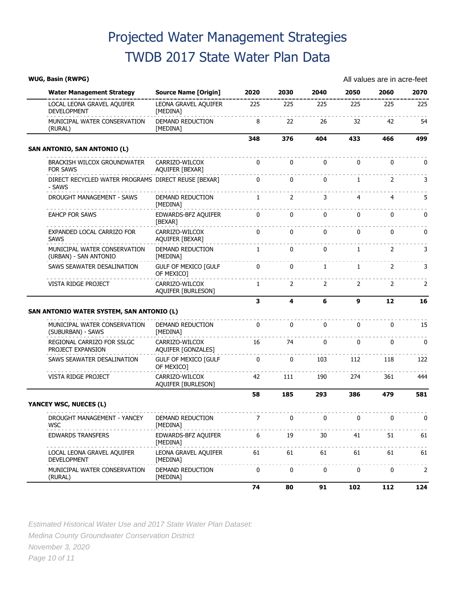| <b>WUG, Basin (RWPG)</b>                                      |                                             |                  |                |                          |                | All values are in acre-feet |                          |
|---------------------------------------------------------------|---------------------------------------------|------------------|----------------|--------------------------|----------------|-----------------------------|--------------------------|
| <b>Water Management Strategy</b>                              | <b>Source Name [Origin]</b>                 | 2020             | 2030           | 2040                     | 2050           | 2060                        | 2070                     |
| LOCAL LEONA GRAVEL AQUIFER<br><b>DEVELOPMENT</b>              | LEONA GRAVEL AQUIFER<br>[MEDINA]            | 225              | 225            | 225                      | 225            | 225                         | 225                      |
| MUNICIPAL WATER CONSERVATION<br>(RURAL)                       | <b>DEMAND REDUCTION</b><br>[MEDINA]         | 8                | 22             | 26                       | 32             | 42                          | 54                       |
|                                                               |                                             | 348              | 376            | 404                      | 433            | 466                         | 499                      |
| SAN ANTONIO, SAN ANTONIO (L)                                  |                                             |                  |                |                          |                |                             |                          |
| BRACKISH WILCOX GROUNDWATER<br><b>FOR SAWS</b>                | CARRIZO-WILCOX<br>AQUIFER [BEXAR]           | $\mathbf{0}$     | $\mathbf{0}$   | $\mathbf{0}$             | $\mathbf{0}$   | $\mathbf{0}$                | 0                        |
| DIRECT RECYCLED WATER PROGRAMS DIRECT REUSE [BEXAR]<br>- SAWS |                                             | 0                | 0              | $\mathbf{0}$             | $\mathbf{1}$   | $\overline{2}$              | 3                        |
| DROUGHT MANAGEMENT - SAWS                                     | DEMAND REDUCTION<br>[MEDINA]                | $\mathbf{1}$     | $\overline{2}$ | 3                        | $\overline{4}$ | 4                           | 5                        |
| <b>EAHCP FOR SAWS</b>                                         | EDWARDS-BFZ AQUIFER<br>[BEXAR]              | 0                | 0              | $\mathbf{0}$             | 0              | 0                           | 0                        |
| EXPANDED LOCAL CARRIZO FOR<br><b>SAWS</b>                     | CARRIZO-WILCOX<br>AQUIFER [BEXAR]           | 0                | 0              | $\mathbf{0}$             | 0              | 0                           | 0                        |
| MUNICIPAL WATER CONSERVATION<br>(URBAN) - SAN ANTONIO         | <b>DEMAND REDUCTION</b><br>[MEDINA]         | $\mathbf{1}$     | 0              | $\mathbf{0}$             | $\mathbf{1}$   | 2                           | 3                        |
| SAWS SEAWATER DESALINATION                                    | <b>GULF OF MEXICO [GULF</b><br>OF MEXICO]   | $\Omega$         | 0              | 1                        | $\mathbf{1}$   | 2                           | 3                        |
| VISTA RIDGE PROJECT                                           | CARRIZO-WILCOX<br>AQUIFER [BURLESON]        | $\mathbf{1}$     | 2              | 2                        | 2              | 2                           | 2                        |
|                                                               |                                             | 3                | 4              | 6                        | 9              | 12                          | 16                       |
| SAN ANTONIO WATER SYSTEM, SAN ANTONIO (L)                     |                                             |                  |                |                          |                |                             |                          |
| MUNICIPAL WATER CONSERVATION<br>(SUBURBAN) - SAWS             | DEMAND REDUCTION<br>[MEDINA]                | $\mathbf{0}$     | 0              | $\mathbf{0}$             | 0              | 0                           | 15                       |
| REGIONAL CARRIZO FOR SSLGC<br>PROJECT EXPANSION               | CARRIZO-WILCOX<br>AQUIFER [GONZALES]        | 16               | 74             | $\mathbf{0}$             | $\mathbf{0}$   | $\mathbf{0}$                | 0                        |
| SAWS SEAWATER DESALINATION                                    | <b>GULF OF MEXICO [GULF</b><br>OF MEXICO]   | 0                | 0              | 103                      | 112            | 118                         | 122                      |
| VISTA RIDGE PROJECT                                           | CARRIZO-WILCOX<br><b>AQUIFER [BURLESON]</b> | 42               | 111            | 190                      | 274            | 361                         | 444                      |
|                                                               |                                             | 58               | 185            | 293                      | 386            | 479                         | 581                      |
| YANCEY WSC, NUECES (L)                                        |                                             |                  |                |                          |                |                             |                          |
| DROUGHT MANAGEMENT - YANCEY<br><b>WSC</b>                     | DEMAND REDUCTION<br>[MEDINA]                | $\overline{7}$   | $\mathbf 0$    | $\mathbf 0$              | $\mathbf{0}$   | 0                           | 0                        |
| <b>EDWARDS TRANSFERS</b>                                      | EDWARDS-BFZ AQUIFER<br>[MEDINA]             | $\overline{6}$   | 19             | 30                       | 41             | 51                          | 61                       |
| LOCAL LEONA GRAVEL AQUIFER<br>DEVELOPMENT                     | LEONA GRAVEL AQUIFER<br>[MEDINA]            | 61               | 61             | 61                       | 61             | 61                          | 61                       |
| MUNICIPAL WATER CONSERVATION<br>(RURAL)                       | DEMAND REDUCTION<br>[MEDINA]                | .<br>$\mathbf 0$ | $\mathbf 0$    | $\overline{\phantom{0}}$ | $\mathbf 0$    | 0                           | $\overline{\phantom{0}}$ |
|                                                               |                                             | 74               | 80             | 91                       | 102            | 112                         | 124                      |

Estimated Historical Water Use and 2017 State Water Plan Dataset: Medina County Groundwater Conservation District November 3, 2020 Page 10 of 11